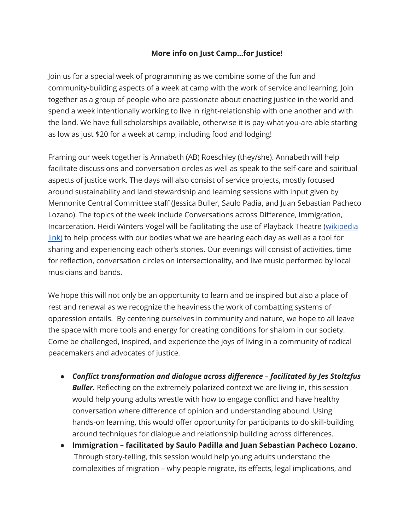## **More info on Just Camp…for Justice!**

Join us for a special week of programming as we combine some of the fun and community-building aspects of a week at camp with the work of service and learning. Join together as a group of people who are passionate about enacting justice in the world and spend a week intentionally working to live in right-relationship with one another and with the land. We have full scholarships available, otherwise it is pay-what-you-are-able starting as low as just \$20 for a week at camp, including food and lodging!

Framing our week together is Annabeth (AB) Roeschley (they/she). Annabeth will help facilitate discussions and conversation circles as well as speak to the self-care and spiritual aspects of justice work. The days will also consist of service projects, mostly focused around sustainability and land stewardship and learning sessions with input given by Mennonite Central Committee staff (Jessica Buller, Saulo Padia, and Juan Sebastian Pacheco Lozano). The topics of the week include Conversations across Difference, Immigration, Incarceration. Heidi Winters Vogel will be facilitating the use of Playback Theatre ([wikipedia](https://en.wikipedia.org/wiki/Playback_Theatre) [link\)](https://en.wikipedia.org/wiki/Playback_Theatre) to help process with our bodies what we are hearing each day as well as a tool for sharing and experiencing each other's stories. Our evenings will consist of activities, time for reflection, conversation circles on intersectionality, and live music performed by local musicians and bands.

We hope this will not only be an opportunity to learn and be inspired but also a place of rest and renewal as we recognize the heaviness the work of combatting systems of oppression entails. By centering ourselves in community and nature, we hope to all leave the space with more tools and energy for creating conditions for shalom in our society. Come be challenged, inspired, and experience the joys of living in a community of radical peacemakers and advocates of justice.

- *● Conflict transformation and dialogue across difference – facilitated by Jes Stoltzfus* **Buller.** Reflecting on the extremely polarized context we are living in, this session would help young adults wrestle with how to engage conflict and have healthy conversation where difference of opinion and understanding abound. Using hands-on learning, this would offer opportunity for participants to do skill-building around techniques for dialogue and relationship building across differences.
- *●* **Immigration – facilitated by Saulo Padilla and Juan Sebastian Pacheco Lozano**. Through story-telling, this session would help young adults understand the complexities of migration – why people migrate, its effects, legal implications, and